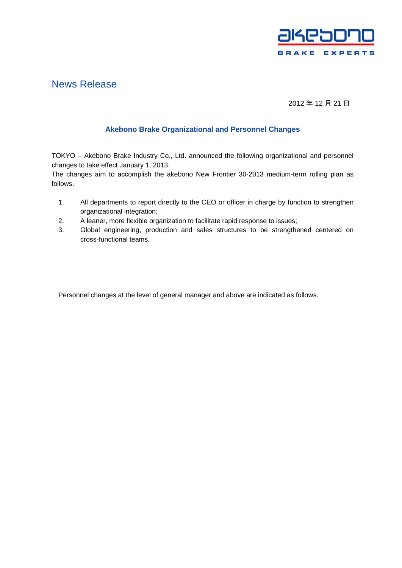

# News Release

## 2012 年 12 月 21 日

### **Akebono Brake Organizational and Personnel Changes**

TOKYO – Akebono Brake Industry Co., Ltd. announced the following organizational and personnel changes to take effect January 1, 2013.

The changes aim to accomplish the akebono New Frontier 30-2013 medium-term rolling plan as follows.

- 1. All departments to report directly to the CEO or officer in charge by function to strengthen organizational integration;
- 2. A leaner, more flexible organization to facilitate rapid response to issues;
- 3. Global engineering, production and sales structures to be strengthened centered on cross-functional teams.

Personnel changes at the level of general manager and above are indicated as follows.